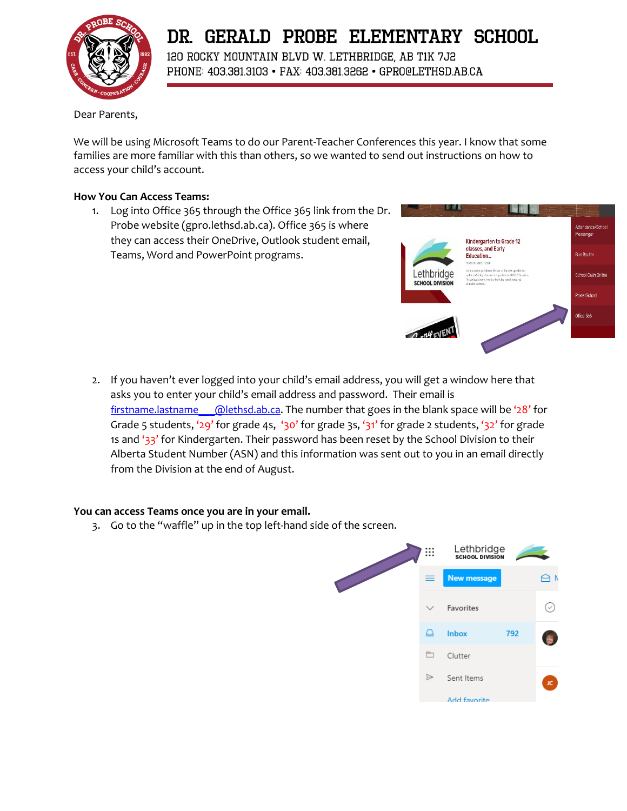

## DR. GERALD PROBE ELEMENTARY SCHOOL

120 ROCKY MOUNTAIN BLVD W. LETHBRIDGE, AB TIK 7J2 PHONE: 403.381.3103 • FAX: 403.381.3262 • GPROCLETHSD.AB.CA

Dear Parents,

We will be using Microsoft Teams to do our Parent-Teacher Conferences this year. I know that some families are more familiar with this than others, so we wanted to send out instructions on how to access your child's account.

## **How You Can Access Teams:**

1. Log into Office 365 through the Office 365 link from the Dr. Probe website (gpro.lethsd.ab.ca). Office 365 is where they can access their OneDrive, Outlook student email, Teams, Word and PowerPoint programs.



2. If you haven't ever logged into your child's email address, you will get a window here that asks you to enter your child's email address and password. Their email is firstname.lastname *Qolethsd.ab.ca*. The number that goes in the blank space will be '28' for Grade 5 students, '29' for grade 4s, '30' for grade 3s, '31' for grade 2 students, '32' for grade 1s and '33' for Kindergarten. Their password has been reset by the School Division to their Alberta Student Number (ASN) and this information was sent out to you in an email directly from the Division at the end of August.

## **You can access Teams once you are in your email.**

3. Go to the "waffle" up in the top left-hand side of the screen.